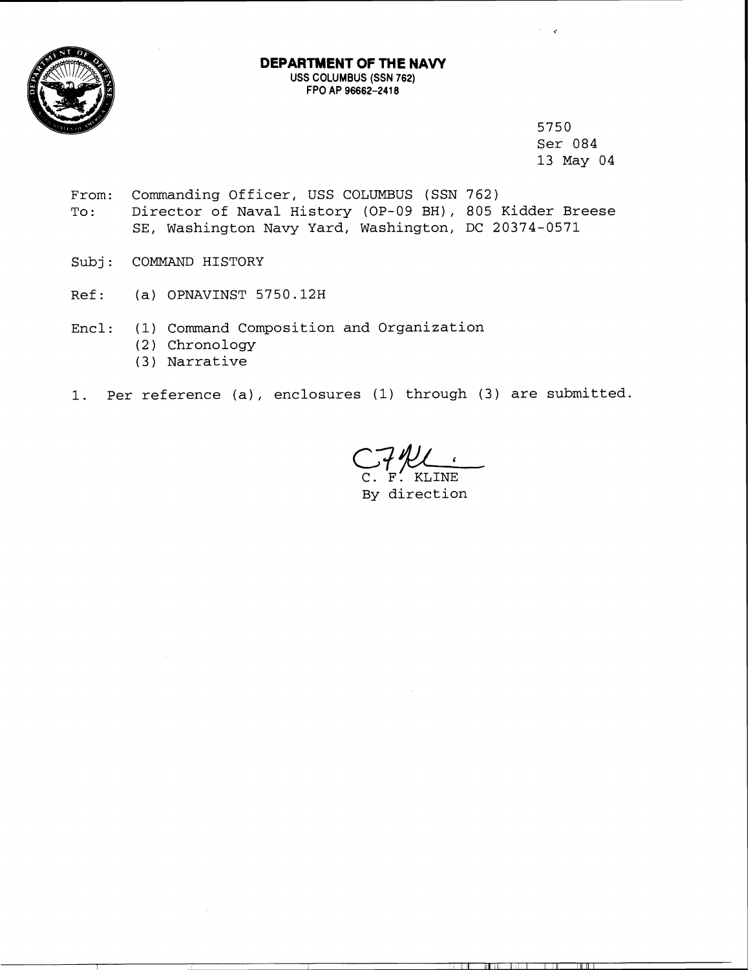

## **DEPARTMENT OF THE NAVY**  USS COLUMBUS (SSN 762) FPO AP 96662-2418

5750 Ser 084 13 May 04

- From: Commanding Officer, USS COLUMBUS (SSN 762) To: Director of Naval History (OP-09 BH), 805 Kidder Breese SE, Washington Navy Yard, Washington, DC 20374-0571
- Subj: COMMAND HISTORY
- Ref: (a) OPNAVINST 5750.12H
- Encl: (1) Command Composition and Organization
	- (2) Chronology
	- (3) Narrative
- 1. Per reference (a), enclosures (1) through (3) are submitted.

C. **'F:** KLINE By direction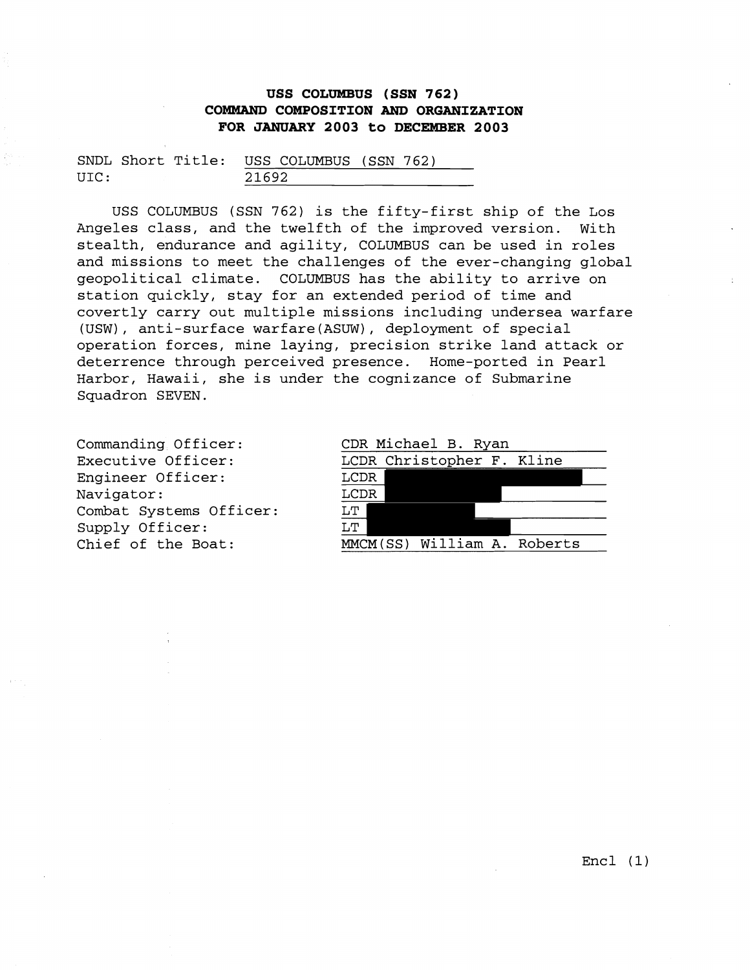## **USS COLUMBUS (SSN 762) COMMAND COMPOSITION AND ORGANIZATION FOR JANUARY 2003 to DECEMBER 2003**

|      |  |       | SNDL Short Title: USS COLUMBUS (SSN 762) |  |  |
|------|--|-------|------------------------------------------|--|--|
| UIC: |  | 21692 |                                          |  |  |

USS COLUMBUS (SSN 762) is the fifty-first ship of the Los Angeles class, and the twelfth of the improved version. With stealth, endurance and agility, COLUMBUS can be used in roles and missions to meet the challenges of the ever-changing global geopolitical climate. COLUMBUS has the ability to arrive on station quickly, stay for an extended period of time and covertly carry out multiple missions including undersea warfare (USW), anti-surface warfare(ASUW), deployment of special operation forces, mine laying, precision strike land attack or deterrence through perceived presence. Home-ported in Pearl Harbor, Hawaii, she is under the cognizance of Submarine Squadron SEVEN.

Commanding Officer: Executive Officer: Engineer Officer: Navigator: Combat Systems Officer: Supply Officer: Chief of the Boat:

| CDR Michael B. Ryan             |  |  |  |  |  |
|---------------------------------|--|--|--|--|--|
| LCDR Christopher F. Kline       |  |  |  |  |  |
| LCDR                            |  |  |  |  |  |
| LCDR                            |  |  |  |  |  |
| $\ensuremath{\text{LT}}\xspace$ |  |  |  |  |  |
| $\overline{\text{LT}}$          |  |  |  |  |  |
| MMCM(SS) William A. Roberts     |  |  |  |  |  |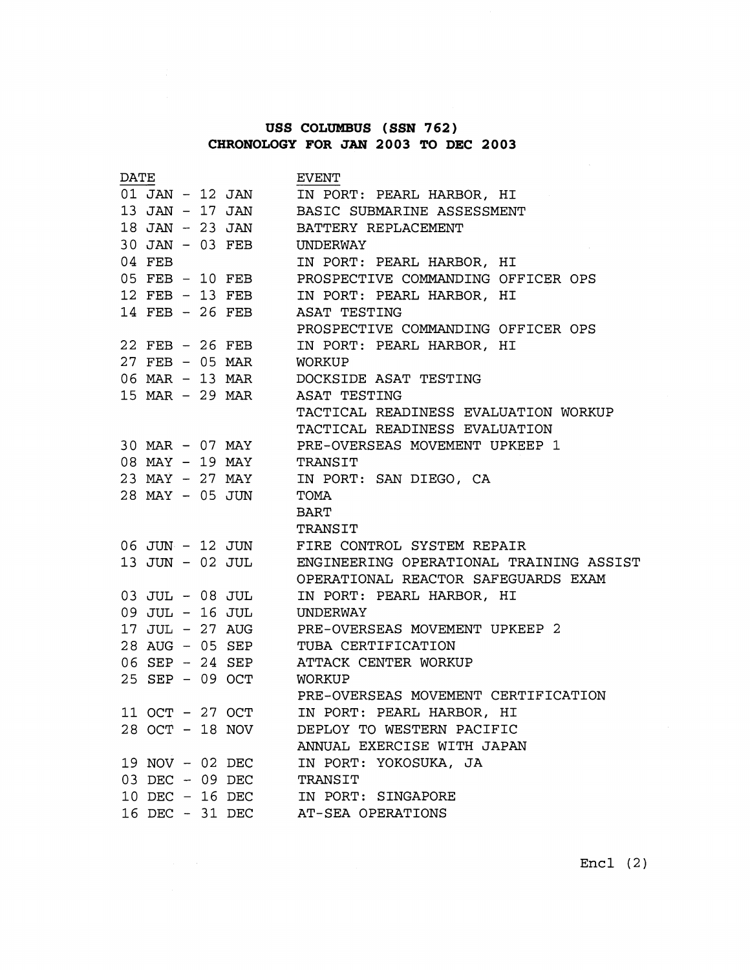## **USS COLUMBUS (SSN 762) CHRONOLOGY FOR JAN 2003 TO DEC 2003**

| <b>DATE</b> |                    |  |                    | <b>EVENT</b>                                   |
|-------------|--------------------|--|--------------------|------------------------------------------------|
|             |                    |  | 01 JAN - 12 JAN    | IN PORT: PEARL HARBOR, HI                      |
|             |                    |  | 13 JAN - 17 JAN    | BASIC SUBMARINE ASSESSMENT                     |
|             |                    |  | 18 JAN - 23 JAN    | BATTERY REPLACEMENT                            |
|             |                    |  | 30 JAN - 03 FEB    | UNDERWAY                                       |
|             | 04 FEB             |  |                    | IN PORT: PEARL HARBOR, HI                      |
|             |                    |  | 05 FEB - 10 FEB    | PROSPECTIVE COMMANDING OFFICER OPS             |
|             |                    |  | 12 FEB - 13 FEB    | IN PORT: PEARL HARBOR, HI                      |
|             |                    |  | 14 FEB - 26 FEB    | ASAT TESTING                                   |
|             |                    |  |                    | PROSPECTIVE COMMANDING OFFICER OPS             |
|             |                    |  | 22 FEB - 26 FEB    | IN PORT: PEARL HARBOR, HI                      |
|             |                    |  | 27 FEB - 05 MAR    | WORKUP                                         |
|             |                    |  | 06 MAR - 13 MAR    | DOCKSIDE ASAT TESTING                          |
|             |                    |  | 15 MAR - 29 MAR    | ASAT TESTING                                   |
|             |                    |  |                    | TACTICAL READINESS EVALUATION WORKUP           |
|             |                    |  |                    | TACTICAL READINESS EVALUATION                  |
|             |                    |  | 30 MAR - 07 MAY    | PRE-OVERSEAS MOVEMENT UPKEEP 1                 |
|             |                    |  | 08 MAY - 19 MAY    | TRANSIT                                        |
|             |                    |  | 23 MAY - 27 MAY    | IN PORT: SAN DIEGO, CA                         |
|             |                    |  | 28 MAY - 05 JUN    | TOMA                                           |
|             |                    |  |                    | <b>BART</b>                                    |
|             |                    |  |                    | TRANSIT                                        |
|             |                    |  | 06 JUN - 12 JUN    | FIRE CONTROL SYSTEM REPAIR                     |
|             |                    |  | 13 JUN - 02 JUL    | ENGINEERING OPERATIONAL TRAINING ASSIST        |
|             |                    |  |                    | OPERATIONAL REACTOR SAFEGUARDS EXAM            |
|             |                    |  | 03 JUL - 08 JUL    | IN PORT: PEARL HARBOR, HI                      |
|             |                    |  | 09 JUL - 16 JUL    | UNDERWAY                                       |
|             |                    |  |                    | 17 JUL - 27 AUG PRE-OVERSEAS MOVEMENT UPKEEP 2 |
|             |                    |  | 28 AUG - 05 SEP    | TUBA CERTIFICATION                             |
|             |                    |  | 06 SEP - 24 SEP    | ATTACK CENTER WORKUP                           |
|             |                    |  | 25 SEP - 09 OCT    | WORKUP                                         |
|             |                    |  |                    | PRE-OVERSEAS MOVEMENT CERTIFICATION            |
|             | 11 OCT - 27 OCT    |  |                    | IN PORT: PEARL HARBOR, HI                      |
|             | 28 OCT - 18 NOV    |  |                    | DEPLOY TO WESTERN PACIFIC                      |
|             |                    |  |                    | ANNUAL EXERCISE WITH JAPAN                     |
|             |                    |  | 19 NOV - 02 DEC    | IN PORT: YOKOSUKA, JA                          |
|             |                    |  | $03$ DEC $-09$ DEC | TRANSIT                                        |
|             | $10$ DEC $-16$ DEC |  |                    | IN PORT: SINGAPORE                             |
|             |                    |  | 16 DEC - 31 DEC    | AT-SEA OPERATIONS                              |

 $Enc1 (2)$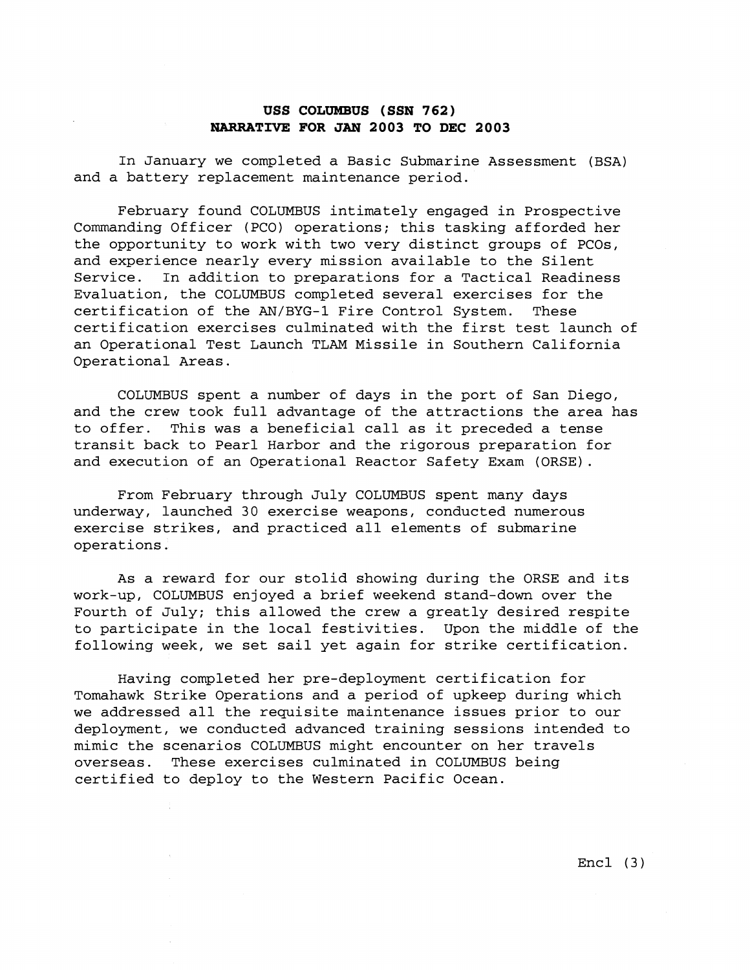## **USS COLUMBUS (SSN 762) NARRATIVE FOR JAN 2003 TO DEC 2003**

In January we completed a Basic Submarine Assessment (BSA) and a battery replacement maintenance period.

February found COLUMBUS intimately engaged in Prospective Commanding Officer (PCO) operations; this tasking afforded her the opportunity to work with two very distinct groups of PCOs, and experience nearly every mission available to the Silent Service. In addition to preparations for a Tactical Readiness Evaluation, the COLUMBUS completed several exercises for the certification of the AN/BYG-1 Fire Control System. These certification exercises culminated with the first test launch of an Operational Test Launch TLAM Missile in Southern California Operational Areas.

COLUMBUS spent a number of days in the port of San Diego, and the crew took full advantage of the attractions the area has to offer. This was a beneficial call as it preceded a tense transit back to Pearl Harbor and the rigorous preparation for and execution of an Operational Reactor Safety Exam (ORSE).

From February through July COLUMBUS spent many days underway, launched 30 exercise weapons, conducted numerous exercise strikes, and practiced all elements of submarine operations.

As a reward for our stolid showing during the ORSE and its work-up, COLUMBUS enjoyed a brief weekend stand-down over the Fourth of July; this allowed the crew a greatly desired respite to participate in the local festivities. Upon the middle of the following week, we set sail yet again for strike certification.

Having completed her pre-deployment certification for Tomahawk Strike Operations and a period of upkeep during which we addressed all the requisite maintenance issues prior to our deployment, we conducted advanced training sessions intended to mimic the scenarios COLUMBUS might encounter on her travels overseas. These exercises culminated in COLUMBUS being certified to deploy to the Western Pacific Ocean.